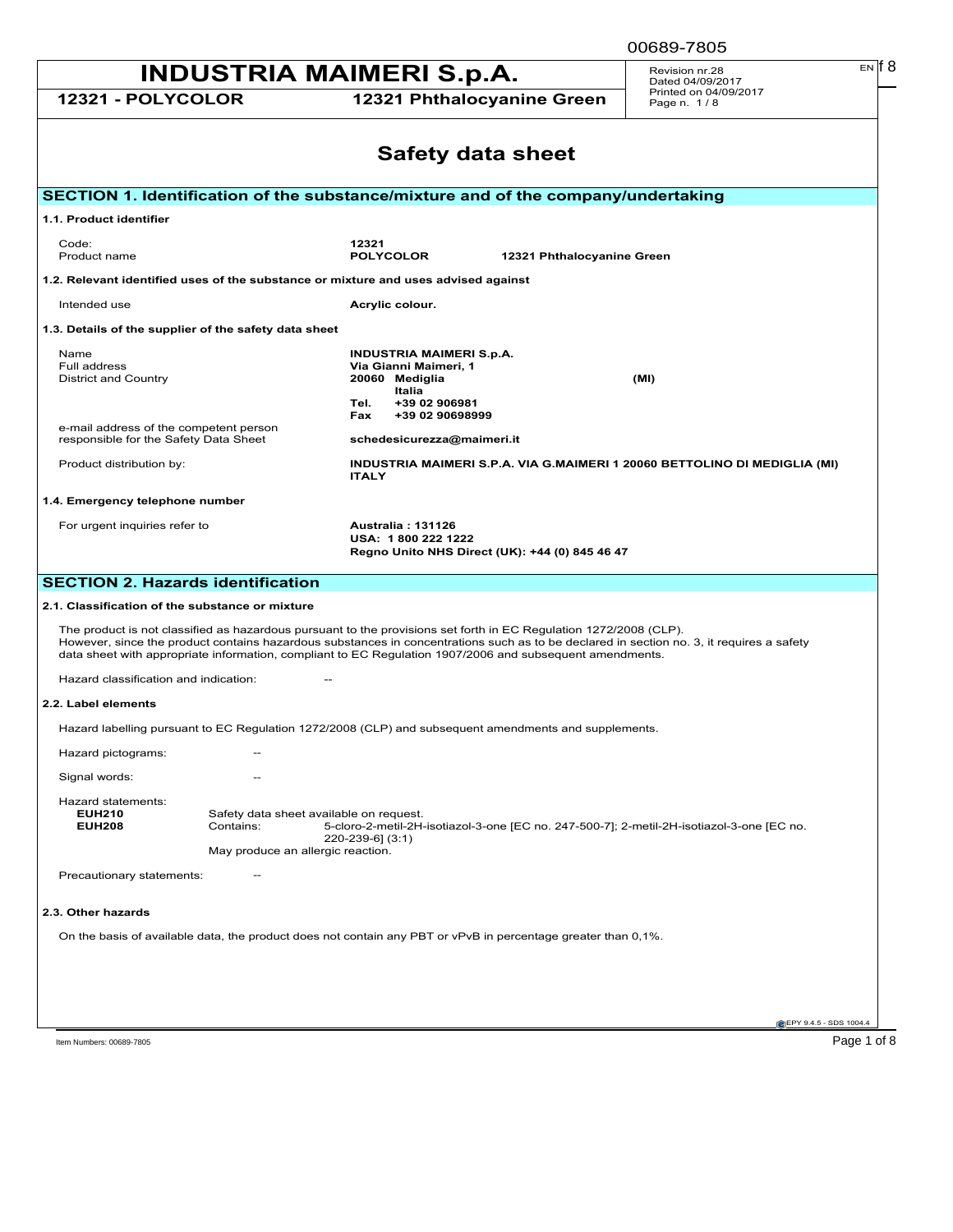00689-7805

| <b>INDUSTRIA MAIMERI S.p.A.</b>                                                    | Revision nr.28<br>Dated 04/09/2017                                                        | $EN$ $  8$                                                                                             |                                                                                                                                                                                                                               |                                                                                                                                          |  |  |  |
|------------------------------------------------------------------------------------|-------------------------------------------------------------------------------------------|--------------------------------------------------------------------------------------------------------|-------------------------------------------------------------------------------------------------------------------------------------------------------------------------------------------------------------------------------|------------------------------------------------------------------------------------------------------------------------------------------|--|--|--|
| 12321 - POLYCOLOR                                                                  |                                                                                           |                                                                                                        | 12321 Phthalocyanine Green                                                                                                                                                                                                    | Printed on 04/09/2017<br>Page n. 1/8                                                                                                     |  |  |  |
|                                                                                    |                                                                                           |                                                                                                        | <b>Safety data sheet</b>                                                                                                                                                                                                      |                                                                                                                                          |  |  |  |
|                                                                                    |                                                                                           |                                                                                                        | SECTION 1. Identification of the substance/mixture and of the company/undertaking                                                                                                                                             |                                                                                                                                          |  |  |  |
| 1.1. Product identifier                                                            |                                                                                           |                                                                                                        |                                                                                                                                                                                                                               |                                                                                                                                          |  |  |  |
| Code:<br>Product name                                                              |                                                                                           | 12321<br><b>POLYCOLOR</b>                                                                              | 12321 Phthalocyanine Green                                                                                                                                                                                                    |                                                                                                                                          |  |  |  |
| 1.2. Relevant identified uses of the substance or mixture and uses advised against |                                                                                           |                                                                                                        |                                                                                                                                                                                                                               |                                                                                                                                          |  |  |  |
| Intended use                                                                       |                                                                                           | Acrylic colour.                                                                                        |                                                                                                                                                                                                                               |                                                                                                                                          |  |  |  |
| 1.3. Details of the supplier of the safety data sheet                              |                                                                                           |                                                                                                        |                                                                                                                                                                                                                               |                                                                                                                                          |  |  |  |
| Name<br>Full address<br>District and Country                                       |                                                                                           | INDUSTRIA MAIMERI S.p.A.<br>Via Gianni Maimeri, 1<br>20060 Mediglia<br>Italia<br>Tel.<br>+39 02 906981 |                                                                                                                                                                                                                               | (MI)                                                                                                                                     |  |  |  |
| e-mail address of the competent person<br>responsible for the Safety Data Sheet    |                                                                                           | +39 02 90698999<br>Fax<br>schedesicurezza@maimeri.it                                                   |                                                                                                                                                                                                                               |                                                                                                                                          |  |  |  |
| Product distribution by:                                                           | INDUSTRIA MAIMERI S.P.A. VIA G.MAIMERI 1 20060 BETTOLINO DI MEDIGLIA (MI)<br><b>ITALY</b> |                                                                                                        |                                                                                                                                                                                                                               |                                                                                                                                          |  |  |  |
| 1.4. Emergency telephone number                                                    |                                                                                           |                                                                                                        |                                                                                                                                                                                                                               |                                                                                                                                          |  |  |  |
| For urgent inquiries refer to                                                      |                                                                                           | Australia: 131126                                                                                      | USA: 1800 222 1222<br>Regno Unito NHS Direct (UK): +44 (0) 845 46 47                                                                                                                                                          |                                                                                                                                          |  |  |  |
| <b>SECTION 2. Hazards identification</b>                                           |                                                                                           |                                                                                                        |                                                                                                                                                                                                                               |                                                                                                                                          |  |  |  |
| 2.1. Classification of the substance or mixture                                    |                                                                                           |                                                                                                        |                                                                                                                                                                                                                               |                                                                                                                                          |  |  |  |
| Hazard classification and indication:                                              |                                                                                           |                                                                                                        | The product is not classified as hazardous pursuant to the provisions set forth in EC Regulation 1272/2008 (CLP).<br>data sheet with appropriate information, compliant to EC Regulation 1907/2006 and subsequent amendments. | However, since the product contains hazardous substances in concentrations such as to be declared in section no. 3, it requires a safety |  |  |  |
| 2.2. Label elements                                                                |                                                                                           |                                                                                                        |                                                                                                                                                                                                                               |                                                                                                                                          |  |  |  |
|                                                                                    |                                                                                           |                                                                                                        | Hazard labelling pursuant to EC Regulation 1272/2008 (CLP) and subsequent amendments and supplements.                                                                                                                         |                                                                                                                                          |  |  |  |
| Hazard pictograms:                                                                 |                                                                                           |                                                                                                        |                                                                                                                                                                                                                               |                                                                                                                                          |  |  |  |
| Signal words:                                                                      |                                                                                           |                                                                                                        |                                                                                                                                                                                                                               |                                                                                                                                          |  |  |  |
| Hazard statements:<br><b>EUH210</b><br><b>EUH208</b>                               | Safety data sheet available on request.<br>Contains:<br>May produce an allergic reaction. | $220 - 239 - 6$ ] (3:1)                                                                                |                                                                                                                                                                                                                               | 5-cloro-2-metil-2H-isotiazol-3-one [EC no. 247-500-7]; 2-metil-2H-isotiazol-3-one [EC no.                                                |  |  |  |
| Precautionary statements:                                                          |                                                                                           |                                                                                                        |                                                                                                                                                                                                                               |                                                                                                                                          |  |  |  |
| 2.3. Other hazards                                                                 |                                                                                           |                                                                                                        |                                                                                                                                                                                                                               |                                                                                                                                          |  |  |  |
|                                                                                    |                                                                                           |                                                                                                        | On the basis of available data, the product does not contain any PBT or vPvB in percentage greater than 0,1%.                                                                                                                 |                                                                                                                                          |  |  |  |

EPY 9.4.5 - SDS 1004.4

Item Numbers: 00689-7805 Page 1 of 8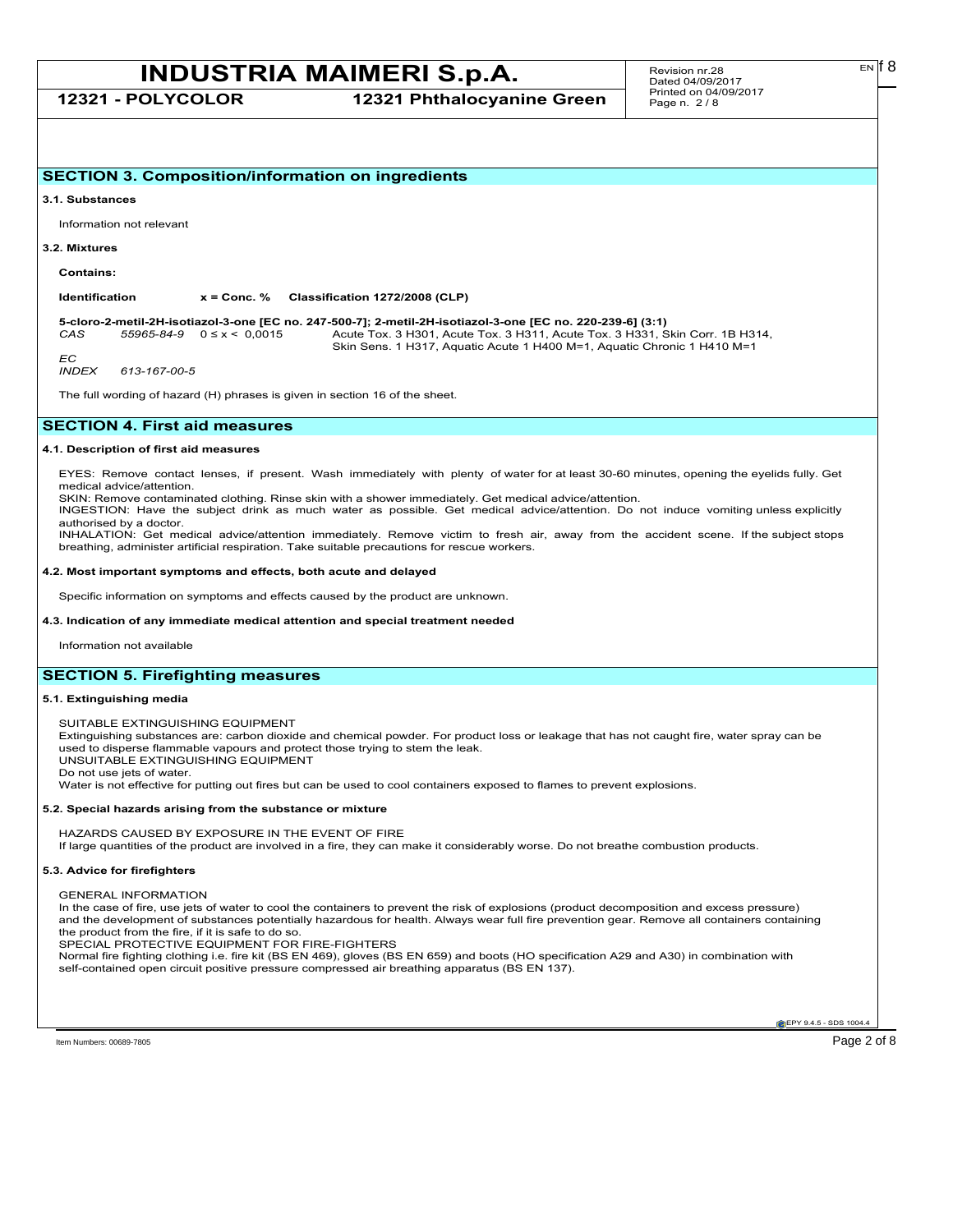**12321 - POLYCOLOR 12321 Phthalocyanine Green**

## **SECTION 3. Composition/information on ingredients**

#### **3.1. Substances**

Information not relevant

#### **3.2. Mixtures**

**Contains:**

**Identification x = Conc. % Classification 1272/2008 (CLP)**

**5-cloro-2-metil-2H-isotiazol-3-one [EC no. 247-500-7]; 2-metil-2H-isotiazol-3-one [EC no. 220-239-6] (3:1)** *CAS 55965-84-9* 0 ≤ x < 0,0015 Acute Tox. 3 H301, Acute Tox. 3 H311, Acute Tox. 3 H331, Skin Corr. 1B H314, Skin Sens. 1 H317, Aquatic Acute 1 H400 M=1, Aquatic Chronic 1 H410 M=1

*EC*<br>INDEX *INDEX 613-167-00-5*

The full wording of hazard (H) phrases is given in section 16 of the sheet.

## **SECTION 4. First aid measures**

## **4.1. Description of first aid measures**

EYES: Remove contact lenses, if present. Wash immediately with plenty of water for at least 30-60 minutes, opening the eyelids fully. Get medical advice/attention.

SKIN: Remove contaminated clothing. Rinse skin with a shower immediately. Get medical advice/attention.

INGESTION: Have the subject drink as much water as possible. Get medical advice/attention. Do not induce vomiting unless explicitly authorised by a doctor.

INHALATION: Get medical advice/attention immediately. Remove victim to fresh air, away from the accident scene. If the subject stops breathing, administer artificial respiration. Take suitable precautions for rescue workers.

## **4.2. Most important symptoms and effects, both acute and delayed**

Specific information on symptoms and effects caused by the product are unknown.

### **4.3. Indication of any immediate medical attention and special treatment needed**

Information not available

## **SECTION 5. Firefighting measures**

## **5.1. Extinguishing media**

SUITABLE EXTINGUISHING EQUIPMENT

Extinguishing substances are: carbon dioxide and chemical powder. For product loss or leakage that has not caught fire, water spray can be used to disperse flammable vapours and protect those trying to stem the leak. UNSUITABLE EXTINGUISHING EQUIPMENT

Do not use jets of water.

Water is not effective for putting out fires but can be used to cool containers exposed to flames to prevent explosions.

#### **5.2. Special hazards arising from the substance or mixture**

HAZARDS CAUSED BY EXPOSURE IN THE EVENT OF FIRE If large quantities of the product are involved in a fire, they can make it considerably worse. Do not breathe combustion products.

### **5.3. Advice for firefighters**

GENERAL INFORMATION

In the case of fire, use jets of water to cool the containers to prevent the risk of explosions (product decomposition and excess pressure) and the development of substances potentially hazardous for health. Always wear full fire prevention gear. Remove all containers containing the product from the fire, if it is safe to do so.

SPECIAL PROTECTIVE EQUIPMENT FOR FIRE-FIGHTERS

Normal fire fighting clothing i.e. fire kit (BS EN 469), gloves (BS EN 659) and boots (HO specification A29 and A30) in combination with self-contained open circuit positive pressure compressed air breathing apparatus (BS EN 137).

**EPY 9.4.5 - SDS 1004** 

EN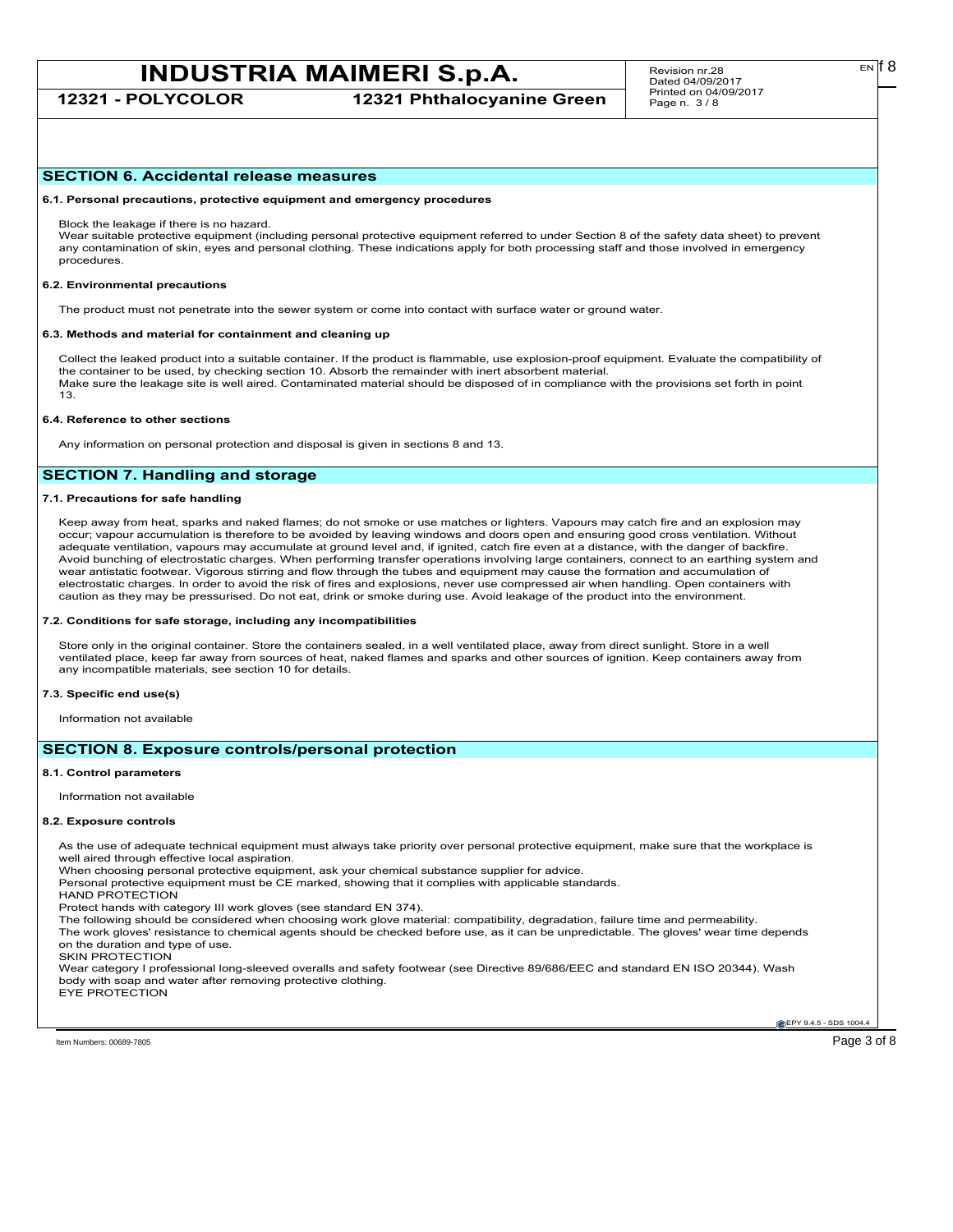**12321 - POLYCOLOR 12321 Phthalocyanine Green**

## **SECTION 6. Accidental release measures**

**6.1. Personal precautions, protective equipment and emergency procedures**

Block the leakage if there is no hazard.

Wear suitable protective equipment (including personal protective equipment referred to under Section 8 of the safety data sheet) to prevent any contamination of skin, eyes and personal clothing. These indications apply for both processing staff and those involved in emergency procedures.

#### **6.2. Environmental precautions**

The product must not penetrate into the sewer system or come into contact with surface water or ground water.

#### **6.3. Methods and material for containment and cleaning up**

Collect the leaked product into a suitable container. If the product is flammable, use explosion-proof equipment. Evaluate the compatibility of the container to be used, by checking section 10. Absorb the remainder with inert absorbent material. Make sure the leakage site is well aired. Contaminated material should be disposed of in compliance with the provisions set forth in point 13.

#### **6.4. Reference to other sections**

Any information on personal protection and disposal is given in sections 8 and 13.

## **SECTION 7. Handling and storage**

## **7.1. Precautions for safe handling**

Keep away from heat, sparks and naked flames; do not smoke or use matches or lighters. Vapours may catch fire and an explosion may occur; vapour accumulation is therefore to be avoided by leaving windows and doors open and ensuring good cross ventilation. Without adequate ventilation, vapours may accumulate at ground level and, if ignited, catch fire even at a distance, with the danger of backfire. Avoid bunching of electrostatic charges. When performing transfer operations involving large containers, connect to an earthing system and wear antistatic footwear. Vigorous stirring and flow through the tubes and equipment may cause the formation and accumulation of electrostatic charges. In order to avoid the risk of fires and explosions, never use compressed air when handling. Open containers with caution as they may be pressurised. Do not eat, drink or smoke during use. Avoid leakage of the product into the environment.

#### **7.2. Conditions for safe storage, including any incompatibilities**

Store only in the original container. Store the containers sealed, in a well ventilated place, away from direct sunlight. Store in a well ventilated place, keep far away from sources of heat, naked flames and sparks and other sources of ignition. Keep containers away from any incompatible materials, see section 10 for details.

#### **7.3. Specific end use(s)**

Information not available

## **SECTION 8. Exposure controls/personal protection**

#### **8.1. Control parameters**

Information not available

#### **8.2. Exposure controls**

As the use of adequate technical equipment must always take priority over personal protective equipment, make sure that the workplace is well aired through effective local aspiration.

When choosing personal protective equipment, ask your chemical substance supplier for advice.

Personal protective equipment must be CE marked, showing that it complies with applicable standards.

HAND PROTECTION

Protect hands with category III work gloves (see standard EN 374).

The following should be considered when choosing work glove material: compatibility, degradation, failure time and permeability.

The work gloves' resistance to chemical agents should be checked before use, as it can be unpredictable. The gloves' wear time depends on the duration and type of use.

SKIN PROTECTION

Wear category I professional long-sleeved overalls and safety footwear (see Directive 89/686/EEC and standard EN ISO 20344). Wash body with soap and water after removing protective clothing. EYE PROTECTION

Item Numbers: 00689-7805 Page 3 of 8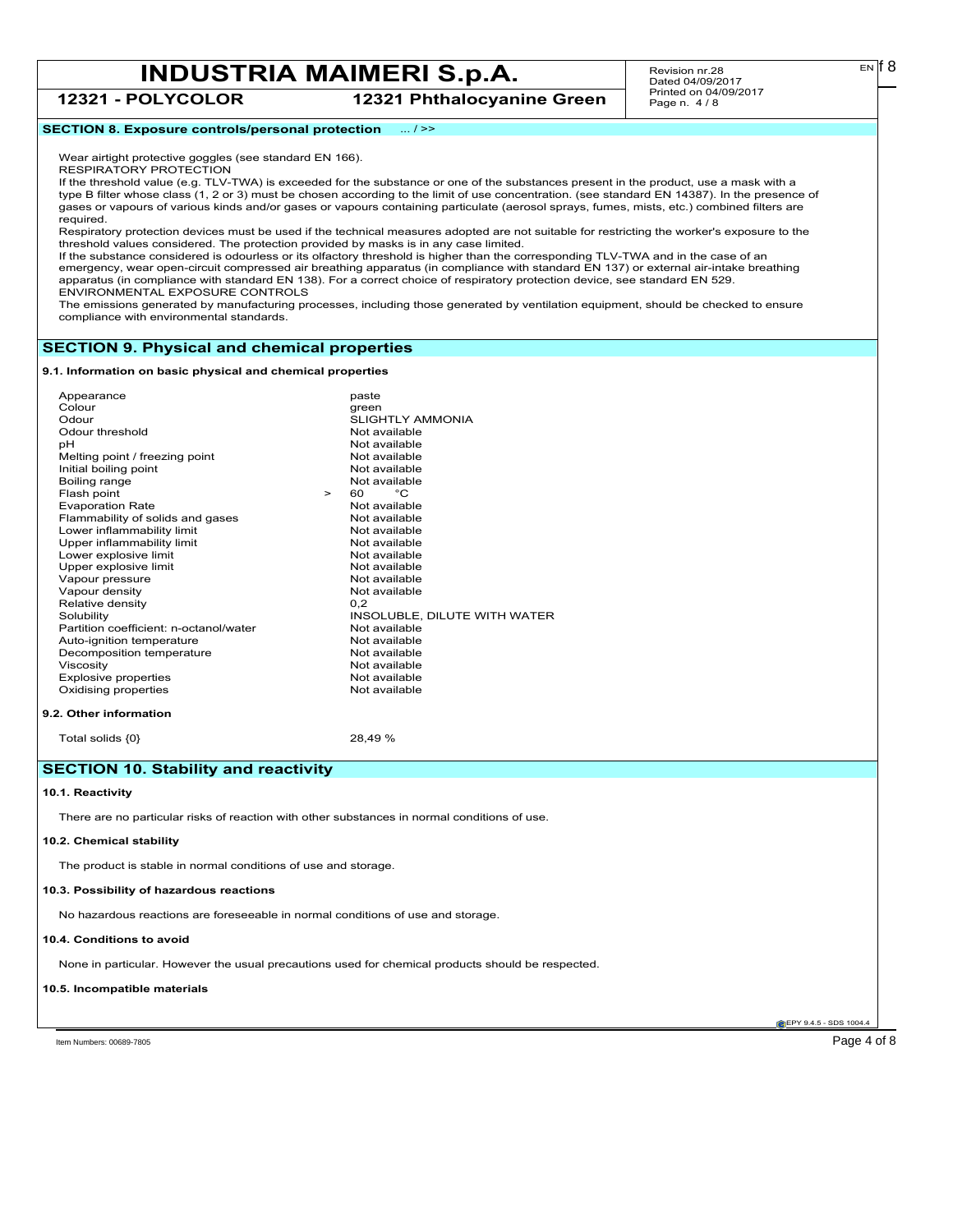## **12321 - POLYCOLOR 12321 Phthalocyanine Green**

Revision nr.28 Dated 04/09/2017 Printed on 04/09/2017 Page n. 4 / 8

## **SECTION 8. Exposure controls/personal protection** ... / >>

Wear airtight protective goggles (see standard EN 166). RESPIRATORY PROTECTION

If the threshold value (e.g. TLV-TWA) is exceeded for the substance or one of the substances present in the product, use a mask with a type B filter whose class (1, 2 or 3) must be chosen according to the limit of use concentration. (see standard EN 14387). In the presence of gases or vapours of various kinds and/or gases or vapours containing particulate (aerosol sprays, fumes, mists, etc.) combined filters are required.

Respiratory protection devices must be used if the technical measures adopted are not suitable for restricting the worker's exposure to the threshold values considered. The protection provided by masks is in any case limited.

If the substance considered is odourless or its olfactory threshold is higher than the corresponding TLV-TWA and in the case of an emergency, wear open-circuit compressed air breathing apparatus (in compliance with standard EN 137) or external air-intake breathing apparatus (in compliance with standard EN 138). For a correct choice of respiratory protection device, see standard EN 529. ENVIRONMENTAL EXPOSURE CONTROLS

The emissions generated by manufacturing processes, including those generated by ventilation equipment, should be checked to ensure compliance with environmental standards.

## **SECTION 9. Physical and chemical properties**

**9.1. Information on basic physical and chemical properties**

| Appearance                             |        | paste                        |
|----------------------------------------|--------|------------------------------|
| Colour                                 |        | green                        |
| Odour                                  |        | <b>SLIGHTLY AMMONIA</b>      |
| Odour threshold                        |        | Not available                |
| pН                                     |        | Not available                |
| Melting point / freezing point         |        | Not available                |
| Initial boiling point                  |        | Not available                |
| Boiling range                          |        | Not available                |
| Flash point                            | $\geq$ | °C<br>60                     |
| <b>Evaporation Rate</b>                |        | Not available                |
| Flammability of solids and gases       |        | Not available                |
| Lower inflammability limit             |        | Not available                |
| Upper inflammability limit             |        | Not available                |
| Lower explosive limit                  |        | Not available                |
| Upper explosive limit                  |        | Not available                |
| Vapour pressure                        |        | Not available                |
| Vapour density                         |        | Not available                |
| Relative density                       |        | 0.2                          |
| Solubility                             |        | INSOLUBLE, DILUTE WITH WATER |
| Partition coefficient: n-octanol/water |        | Not available                |
| Auto-ignition temperature              |        | Not available                |
| Decomposition temperature              |        | Not available                |
| Viscosity                              |        | Not available                |
| <b>Explosive properties</b>            |        | Not available                |
| Oxidising properties                   |        | Not available                |
|                                        |        |                              |
| 9.2. Other information                 |        |                              |
|                                        |        |                              |

Total solids  ${0}$  28,49 %

## **SECTION 10. Stability and reactivity**

## **10.1. Reactivity**

There are no particular risks of reaction with other substances in normal conditions of use.

#### **10.2. Chemical stability**

The product is stable in normal conditions of use and storage.

### **10.3. Possibility of hazardous reactions**

No hazardous reactions are foreseeable in normal conditions of use and storage.

## **10.4. Conditions to avoid**

None in particular. However the usual precautions used for chemical products should be respected.

#### **10.5. Incompatible materials**

**EPY 9.4.5 - SDS 1004** 

Item Numbers: 00689-7805 Page 4 of 8

EN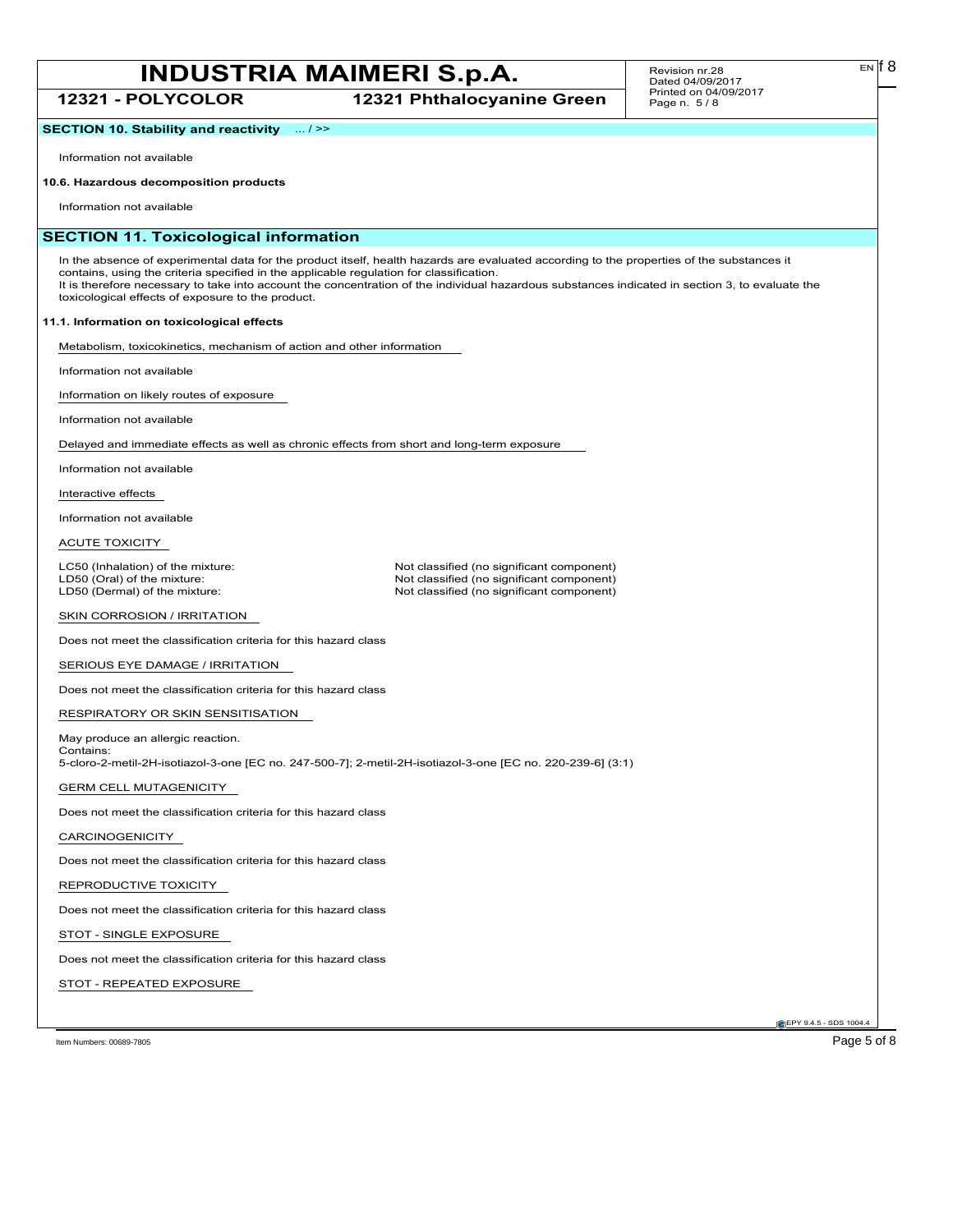**12321 - POLYCOLOR 12321 Phthalocyanine Green**

#### Revision nr.28 Dated 04/09/2017 Printed on 04/09/2017 Page n. 5 / 8

**SECTION 10. Stability and reactivity** ... / >>

Information not available

## **10.6. Hazardous decomposition products**

Information not available

## **SECTION 11. Toxicological information**

In the absence of experimental data for the product itself, health hazards are evaluated according to the properties of the substances it contains, using the criteria specified in the applicable regulation for classification. It is therefore necessary to take into account the concentration of the individual hazardous substances indicated in section 3, to evaluate the toxicological effects of exposure to the product.

## **11.1. Information on toxicological effects**

Metabolism, toxicokinetics, mechanism of action and other information

Information not available

Information on likely routes of exposure

Information not available

Delayed and immediate effects as well as chronic effects from short and long-term exposure

Information not available

Interactive effects

Information not available

ACUTE TOXICITY

LC50 (Inhalation) of the mixture: Not classified (no significant component)<br>
LD50 (Oral) of the mixture: Not classified (no significant component) LD50 (Oral) of the mixture: Not classified (no significant component)<br>
LD50 (Dermal) of the mixture: Not classified (no significant component) Not classified (no significant component)

SKIN CORROSION / IRRITATION

Does not meet the classification criteria for this hazard class

SERIOUS EYE DAMAGE / IRRITATION

Does not meet the classification criteria for this hazard class

RESPIRATORY OR SKIN SENSITISATION

May produce an allergic reaction. Contains: 5-cloro-2-metil-2H-isotiazol-3-one [EC no. 247-500-7]; 2-metil-2H-isotiazol-3-one [EC no. 220-239-6] (3:1)

GERM CELL MUTAGENICITY

Does not meet the classification criteria for this hazard class

CARCINOGENICITY

Does not meet the classification criteria for this hazard class

REPRODUCTIVE TOXICITY

Does not meet the classification criteria for this hazard class

STOT - SINGLE EXPOSURE

Does not meet the classification criteria for this hazard class

STOT - REPEATED EXPOSURE

Item Numbers: 00689-7805 Page 5 of 8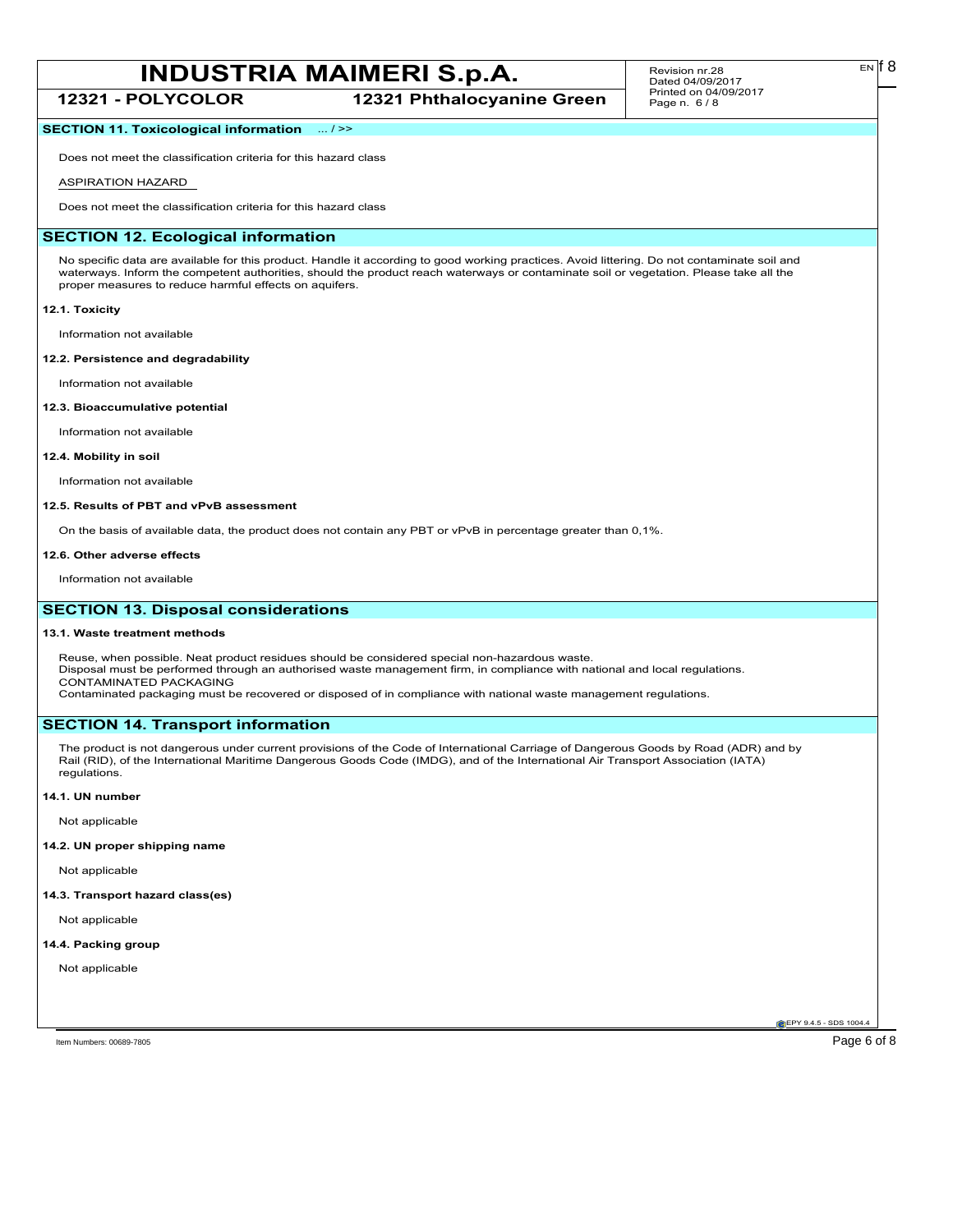**12321 - POLYCOLOR 12321 Phthalocyanine Green**

#### Revision nr.28 Dated 04/09/2017 Printed on 04/09/2017 Page n. 6 / 8

EN

## **SECTION 11. Toxicological information** ... / >>

Does not meet the classification criteria for this hazard class

## ASPIRATION HAZARD

Does not meet the classification criteria for this hazard class

## **SECTION 12. Ecological information**

No specific data are available for this product. Handle it according to good working practices. Avoid littering. Do not contaminate soil and waterways. Inform the competent authorities, should the product reach waterways or contaminate soil or vegetation. Please take all the proper measures to reduce harmful effects on aquifers.

### **12.1. Toxicity**

Information not available

### **12.2. Persistence and degradability**

Information not available

## **12.3. Bioaccumulative potential**

Information not available

### **12.4. Mobility in soil**

Information not available

## **12.5. Results of PBT and vPvB assessment**

On the basis of available data, the product does not contain any PBT or vPvB in percentage greater than 0,1%.

#### **12.6. Other adverse effects**

Information not available

## **SECTION 13. Disposal considerations**

#### **13.1. Waste treatment methods**

Reuse, when possible. Neat product residues should be considered special non-hazardous waste. Disposal must be performed through an authorised waste management firm, in compliance with national and local regulations. CONTAMINATED PACKAGING Contaminated packaging must be recovered or disposed of in compliance with national waste management regulations.

## **SECTION 14. Transport information**

The product is not dangerous under current provisions of the Code of International Carriage of Dangerous Goods by Road (ADR) and by Rail (RID), of the International Maritime Dangerous Goods Code (IMDG), and of the International Air Transport Association (IATA) regulations.

#### **14.1. UN number**

Not applicable

## **14.2. UN proper shipping name**

Not applicable

### **14.3. Transport hazard class(es)**

Not applicable

## **14.4. Packing group**

Not applicable

Item Numbers: 00689-7805 Page 6 of 8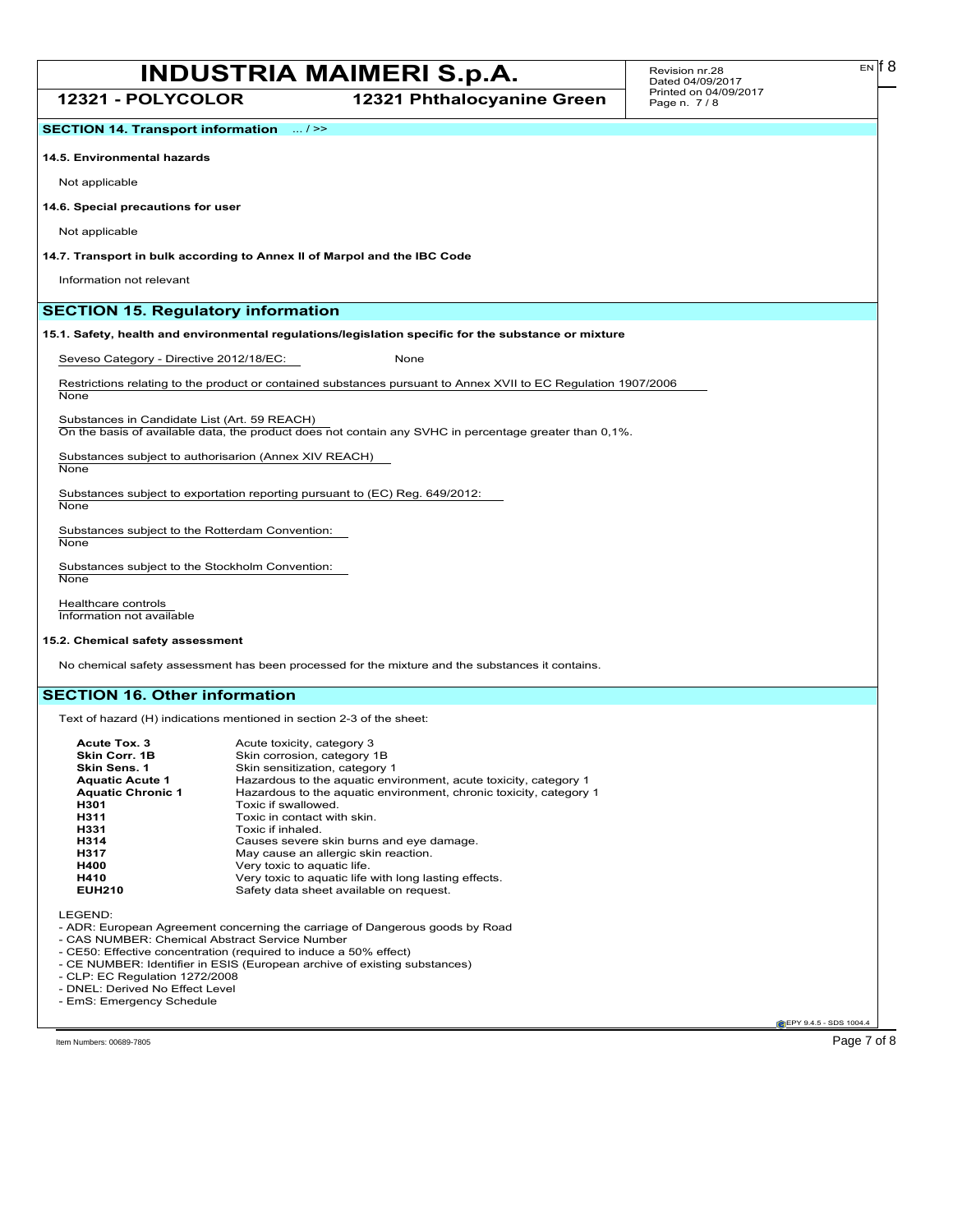**12321 - POLYCOLOR 12321 Phthalocyanine Green**

**SECTION 14. Transport information** ... / >>

#### **14.5. Environmental hazards**

Not applicable

#### **14.6. Special precautions for user**

Not applicable

**14.7. Transport in bulk according to Annex II of Marpol and the IBC Code**

Information not relevant

## **SECTION 15. Regulatory information**

## **15.1. Safety, health and environmental regulations/legislation specific for the substance or mixture**

Seveso Category - Directive 2012/18/EC: None

Restrictions relating to the product or contained substances pursuant to Annex XVII to EC Regulation 1907/2006 None

Substances in Candidate List (Art. 59 REACH) On the basis of available data, the product does not contain any SVHC in percentage greater than 0,1%.

Substances subject to authorisarion (Annex XIV REACH) **None** 

Substances subject to exportation reporting pursuant to (EC) Reg. 649/2012: **None** 

Substances subject to the Rotterdam Convention: **None** 

Substances subject to the Stockholm Convention: **None** 

Healthcare controls Information not available

## **15.2. Chemical safety assessment**

No chemical safety assessment has been processed for the mixture and the substances it contains.

## **SECTION 16. Other information**

Text of hazard (H) indications mentioned in section 2-3 of the sheet:

| Acute Tox. 3             | Acute toxicity, category 3                                         |
|--------------------------|--------------------------------------------------------------------|
| Skin Corr. 1B            | Skin corrosion, category 1B                                        |
| Skin Sens. 1             | Skin sensitization, category 1                                     |
| <b>Aquatic Acute 1</b>   | Hazardous to the aquatic environment, acute toxicity, category 1   |
| <b>Aquatic Chronic 1</b> | Hazardous to the aquatic environment, chronic toxicity, category 1 |
| H301                     | Toxic if swallowed.                                                |
| H311                     | Toxic in contact with skin.                                        |
| H331                     | Toxic if inhaled.                                                  |
| H314                     | Causes severe skin burns and eye damage.                           |
| H317                     | May cause an allergic skin reaction.                               |
| H400                     | Very toxic to aquatic life.                                        |
| H410                     | Very toxic to aquatic life with long lasting effects.              |
| <b>EUH210</b>            | Safety data sheet available on request.                            |

LEGEND:

- ADR: European Agreement concerning the carriage of Dangerous goods by Road

- CAS NUMBER: Chemical Abstract Service Number

- CE50: Effective concentration (required to induce a 50% effect)

- CE NUMBER: Identifier in ESIS (European archive of existing substances)

- CLP: EC Regulation 1272/2008

- DNEL: Derived No Effect Level

- EmS: Emergency Schedule